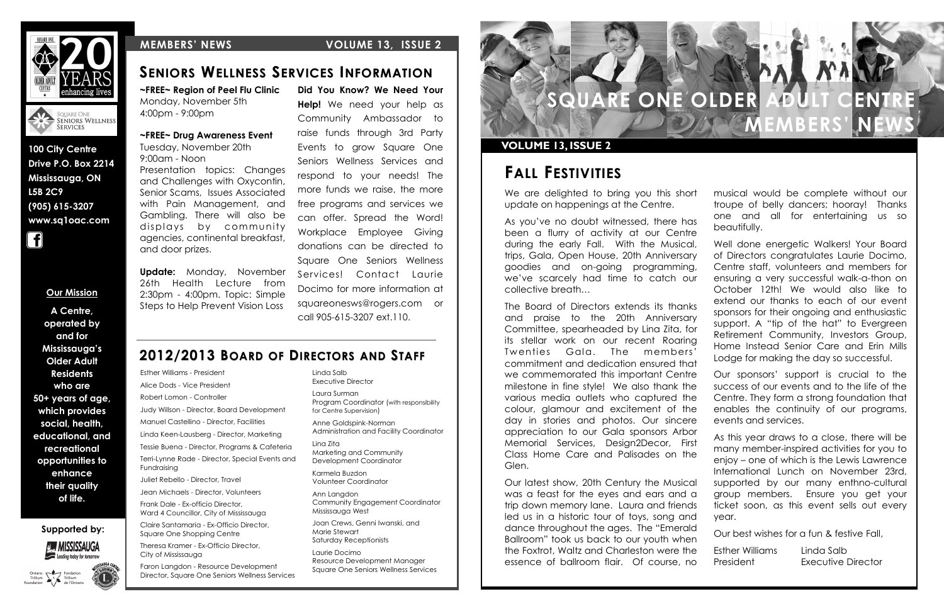**Supported by:**









**100 City Centre Drive P.O. Box 2214 Mississauga, ON L5B 2C9 (905) 615-3207 www.sq1oac.com**



### **MEMBERS' NEWS VOLUME 13, ISSUE 2**

#### **Our Mission**

**A Centre, operated by and for Mississauga's Older Adult Residents who are 50+ years of age, which provides social, health, educational, and recreational opportunities to enhance their quality of life.**



We are delighted to bring you this short update on happenings at the Centre.

As you've no doubt witnessed, there has been a flurry of activity at our Centre during the early Fall. With the Musical, trips, Gala, Open House, 20th Anniversary goodies and on-going programming, we've scarcely had time to catch our collective breath…

The Board of Directors extends its thanks and praise to the 20th Anniversary Committee, spearheaded by Lina Zita, for its stellar work on our recent Roaring Twenties Gala. The members' commitment and dedication ensured that we commemorated this important Centre milestone in fine style! We also thank the various media outlets who captured the colour, glamour and excitement of the day in stories and photos. Our sincere appreciation to our Gala sponsors Arbor Memorial Services, Design2Decor, First Class Home Care and Palisades on the Glen.

Our latest show, 20th Century the Musical was a feast for the eyes and ears and a trip down memory lane. Laura and friends led us in a historic tour of toys, song and dance throughout the ages. The "Emerald Ballroom" took us back to our youth when the Foxtrot, Waltz and Charleston were the essence of ballroom flair. Of course, no

- musical would be complete without our troupe of belly dancers; hooray! Thanks one and all for entertaining us so beautifully.
- Well done energetic Walkers! Your Board of Directors congratulates Laurie Docimo, Centre staff, volunteers and members for ensuring a very successful walk-a-thon on October 12th! We would also like to extend our thanks to each of our event sponsors for their ongoing and enthusiastic support. A "tip of the hat" to Evergreen Retirement Community, Investors Group, Home Instead Senior Care and Erin Mills Lodge for making the day so successful.
- Our sponsors' support is crucial to the success of our events and to the life of the Centre. They form a strong foundation that enables the continuity of our programs, events and services.
- As this year draws to a close, there will be many member-inspired activities for you to enjoy – one of which is the Lewis Lawrence International Lunch on November 23rd, supported by our many enthno-cultural group members. Ensure you get your ticket soon, as this event sells out every year.
- Our best wishes for a fun & festive Fall,
- Esther Williams Linda Salb
	-
- President Executive Director

## **FALL FESTIVITIES**

### **VOLUME 13, ISSUE 2**

### **SENIORS WELLNESS SERVICES INFORMATION**

Linda Salb

Executive Director Laura Surman Program Coordinator (with responsibility for Centre Supervision)

Anne Goldspink-Norman Administration and Facility Coordinator

Lina Zita Marketing and Community Development Coordinator

Karmela Buzdon Volunteer Coordinator

Ann Langdon Community Engagement Coordinator Mississauga West

Joan Crews, Genni Iwanski, and Marie Stewart Saturday Receptionists

Laurie Docimo Resource Development Manager Square One Seniors Wellness Services

Esther Williams - President Alice Dods - Vice President Robert Lomon - Controller Judy Willson - Director, Board Development Manuel Castellino - Director, Facilities Linda Keen-Lausberg - Director, Marketing Tessie Buena - Director, Programs & Cafeteria Terri-Lynne Rade - Director, Special Events and Fundraising

Juliet Rebello - Director, Travel

Jean Michaels - Director, Volunteers

Frank Dale - Ex-officio Director, Ward 4 Councillor, City of Mississauga

Claire Santamaria - Ex-Officio Director, Square One Shopping Centre

Theresa Kramer - Ex-Officio Director, City of Mississauga

Faron Langdon - Resource Development Director, Square One Seniors Wellness Services

**Did You Know? We Need Your Help!** We need your help as Community Ambassador to raise funds through 3rd Party Events to grow Square One Seniors Wellness Services and respond to your needs! The more funds we raise, the more free programs and services we can offer. Spread the Word! Workplace Employee Giving donations can be directed to Square One Seniors Wellness Services! Contact Laurie Docimo for more information at squareonesws@rogers.com or call 905-615-3207 ext.110.

**~FREE~ Region of Peel Flu Clinic** Monday, November 5th 4:00pm - 9:00pm

### **~FREE~ Drug Awareness Event**

Tuesday, November 20th 9:00am - Noon Presentation topics: Changes and Challenges with Oxycontin, Senior Scams, Issues Associated with Pain Management, and Gambling. There will also be displays by community agencies, continental breakfast, and door prizes.

**Update:** Monday, November 26th Health Lecture from 2:30pm - 4:00pm. Topic: Simple Steps to Help Prevent Vision Loss

### **2012/2013 BOARD OF DIRECTORS AND STAFF**